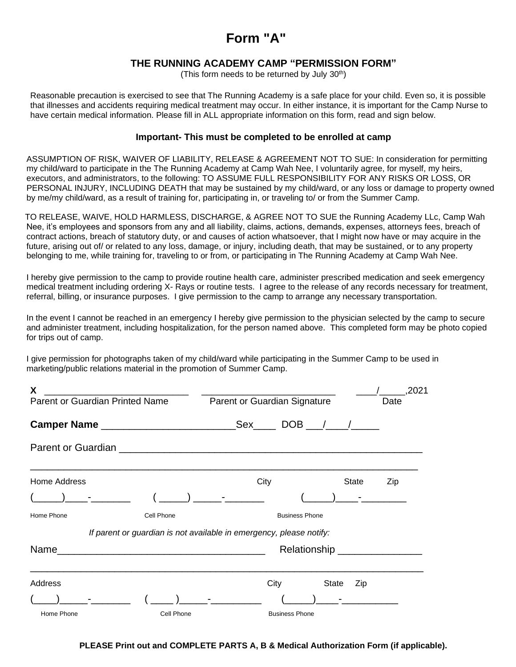# **Form "A"**

## **THE RUNNING ACADEMY CAMP "PERMISSION FORM"**

(This form needs to be returned by July 30th)

Reasonable precaution is exercised to see that The Running Academy is a safe place for your child. Even so, it is possible that illnesses and accidents requiring medical treatment may occur. In either instance, it is important for the Camp Nurse to have certain medical information. Please fill in ALL appropriate information on this form, read and sign below.

### **Important- This must be completed to be enrolled at camp**

ASSUMPTION OF RISK, WAIVER OF LIABILITY, RELEASE & AGREEMENT NOT TO SUE: In consideration for permitting my child/ward to participate in the The Running Academy at Camp Wah Nee, I voluntarily agree, for myself, my heirs, executors, and administrators, to the following: TO ASSUME FULL RESPONSIBILITY FOR ANY RISKS OR LOSS, OR PERSONAL INJURY, INCLUDING DEATH that may be sustained by my child/ward, or any loss or damage to property owned by me/my child/ward, as a result of training for, participating in, or traveling to/ or from the Summer Camp.

TO RELEASE, WAIVE, HOLD HARMLESS, DISCHARGE, & AGREE NOT TO SUE the Running Academy LLc, Camp Wah Nee, it's employees and sponsors from any and all liability, claims, actions, demands, expenses, attorneys fees, breach of contract actions, breach of statutory duty, or and causes of action whatsoever, that I might now have or may acquire in the future, arising out of/ or related to any loss, damage, or injury, including death, that may be sustained, or to any property belonging to me, while training for, traveling to or from, or participating in The Running Academy at Camp Wah Nee.

I hereby give permission to the camp to provide routine health care, administer prescribed medication and seek emergency medical treatment including ordering X- Rays or routine tests. I agree to the release of any records necessary for treatment, referral, billing, or insurance purposes. I give permission to the camp to arrange any necessary transportation.

In the event I cannot be reached in an emergency I hereby give permission to the physician selected by the camp to secure and administer treatment, including hospitalization, for the person named above. This completed form may be photo copied for trips out of camp.

I give permission for photographs taken of my child/ward while participating in the Summer Camp to be used in marketing/public relations material in the promotion of Summer Camp.

| X                               |                                                                     |                                                                                 |                       |              | .2021 |  |  |  |
|---------------------------------|---------------------------------------------------------------------|---------------------------------------------------------------------------------|-----------------------|--------------|-------|--|--|--|
| Parent or Guardian Printed Name |                                                                     | Parent or Guardian Signature                                                    |                       |              | Date  |  |  |  |
|                                 |                                                                     |                                                                                 |                       | $DOB$ / /    |       |  |  |  |
|                                 |                                                                     |                                                                                 |                       |              |       |  |  |  |
| Home Address                    |                                                                     | City                                                                            |                       | State        | Zip   |  |  |  |
|                                 |                                                                     | $\frac{1}{\sqrt{1-\frac{1}{2}}}\left(\frac{1}{\sqrt{1-\frac{1}{2}}}\right)^{n}$ |                       |              |       |  |  |  |
| Home Phone                      | Cell Phone                                                          |                                                                                 | <b>Business Phone</b> |              |       |  |  |  |
|                                 | If parent or guardian is not available in emergency, please notify: |                                                                                 |                       |              |       |  |  |  |
|                                 |                                                                     | Name<br>Relationship __________________                                         |                       |              |       |  |  |  |
| Address                         |                                                                     |                                                                                 | City                  | State<br>Zip |       |  |  |  |
| and the company of              |                                                                     | ) $-$                                                                           |                       |              |       |  |  |  |
| Home Phone                      | Cell Phone                                                          | <b>Business Phone</b>                                                           |                       |              |       |  |  |  |

**PLEASE Print out and COMPLETE PARTS A, B & Medical Authorization Form (if applicable).**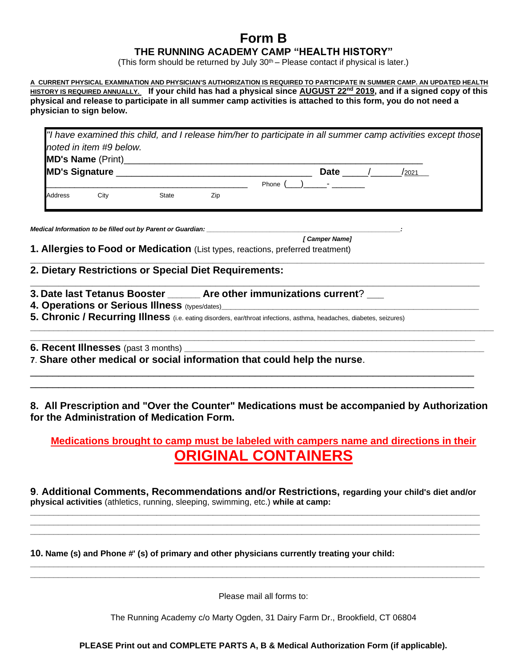# **Form B**

## **THE RUNNING ACADEMY CAMP "HEALTH HISTORY"**

(This form should be returned by July  $30<sup>th</sup>$  – Please contact if physical is later.)

**A CURRENT PHYSICAL EXAMINATION AND PHYSICIAN'S AUTHORIZATION IS REQUIRED TO PARTICIPATE IN SUMMER CAMP. AN UPDATED HEALTH HISTORY IS REQUIRED ANNUALLY. If your child has had a physical since AUGUST 22nd 2019, and if a signed copy of this physical and release to participate in all summer camp activities is attached to this form, you do not need a physician to sign below.**

|                       |                         |              |     | "I have examined this child, and I release him/her to participate in all summer camp activities except those |             |       |  |
|-----------------------|-------------------------|--------------|-----|--------------------------------------------------------------------------------------------------------------|-------------|-------|--|
|                       | noted in item #9 below. |              |     |                                                                                                              |             |       |  |
|                       |                         |              |     |                                                                                                              |             |       |  |
| <b>MD's Signature</b> |                         |              |     |                                                                                                              | <b>Date</b> | /2021 |  |
|                       |                         |              |     | Phone $($ $)$ $-$                                                                                            |             |       |  |
| <b>Address</b>        | City                    | <b>State</b> | Zip |                                                                                                              |             |       |  |
|                       |                         |              |     |                                                                                                              |             |       |  |

**\_\_\_\_\_\_\_\_\_\_\_\_\_\_\_\_\_\_\_\_\_\_\_\_\_\_\_\_\_\_\_\_\_\_\_\_\_\_\_\_\_\_\_\_\_\_\_\_\_\_\_\_\_\_\_\_\_\_\_\_\_\_\_\_\_\_\_\_\_\_\_\_\_\_\_\_\_\_\_\_\_\_\_\_\_\_\_\_\_\_\_\_\_\_\_\_\_**

**\_\_\_\_\_\_\_\_\_\_\_\_\_\_\_\_\_\_\_\_\_\_\_\_\_\_\_\_\_\_\_\_\_\_\_\_\_\_\_\_\_\_\_\_\_\_\_\_\_\_\_\_\_\_\_\_\_\_\_\_\_\_\_\_\_\_\_\_\_\_\_\_\_\_\_\_\_\_\_\_**

**\_\_\_\_\_\_\_\_\_\_\_\_\_\_\_\_\_\_\_\_\_\_\_\_\_\_\_\_\_\_\_\_\_\_\_\_\_\_\_\_\_\_\_\_\_\_\_\_\_\_\_\_\_\_\_\_\_\_\_\_\_\_\_\_\_\_\_\_\_\_\_\_\_\_\_\_\_\_\_\_\_\_\_\_\_\_\_\_\_\_\_\_\_\_\_\_\_\_\_ \_\_\_\_\_\_\_\_\_\_\_\_\_\_\_\_\_\_\_\_\_\_\_\_\_\_\_\_\_\_\_\_\_\_\_\_\_\_\_\_\_\_\_\_\_\_\_\_\_\_\_\_\_\_\_\_\_\_\_\_\_\_\_\_\_\_\_\_\_\_\_\_\_\_\_\_\_\_\_\_\_\_\_\_\_\_\_\_\_\_\_\_\_\_\_**

*Medical Information to be filled out by Parent or Guardian:* 

 *[ Camper Name]*

**1. Allergies to Food or Medication** (List types, reactions, preferred treatment)

## **2. Dietary Restrictions or Special Diet Requirements:**

- **3. Date last Tetanus Booster \_\_\_\_\_\_\_ Are other immunizations current**? **\_\_\_**
- **4. Operations or Serious Illness** (types/dates)**\_\_\_\_\_\_\_\_\_\_\_\_\_\_\_\_\_\_\_\_\_\_\_\_\_\_\_\_\_\_\_\_\_\_\_\_\_\_\_\_\_\_\_\_\_\_\_\_\_\_\_\_\_\_\_**
- **5. Chronic / Recurring Illness** (i.e. eating disorders, ear/throat infections, asthma, headaches, diabetes, seizures)

**6. Recent Illnesses** (past 3 months)

**7**. **Share other medical or social information that could help the nurse**.

## **8. All Prescription and "Over the Counter" Medications must be accompanied by Authorization for the Administration of Medication Form.**

\_\_\_\_\_\_\_\_\_\_\_\_\_\_\_\_\_\_\_\_\_\_\_\_\_\_\_\_\_\_\_\_\_\_\_\_\_\_\_\_\_\_\_\_\_\_\_\_\_\_\_\_\_\_\_\_\_\_\_\_\_\_\_\_\_\_\_\_\_\_\_\_\_\_\_\_\_\_\_ \_\_\_\_\_\_\_\_\_\_\_\_\_\_\_\_\_\_\_\_\_\_\_\_\_\_\_\_\_\_\_\_\_\_\_\_\_\_\_\_\_\_\_\_\_\_\_\_\_\_\_\_\_\_\_\_\_\_\_\_\_\_\_\_\_\_\_\_\_\_\_\_\_\_\_\_\_\_\_

## **Medications brought to camp must be labeled with campers name and directions in their ORIGINAL CONTAINERS**

**9**. **Additional Comments, Recommendations and/or Restrictions, regarding your child's diet and/or physical activities** (athletics, running, sleeping, swimming, etc.) **while at camp: \_\_\_\_\_\_\_\_\_\_\_\_\_\_\_\_\_\_\_\_\_\_\_\_\_\_\_\_\_\_\_\_\_\_\_\_\_\_\_\_\_\_\_\_\_\_\_\_\_\_\_\_\_\_\_\_\_\_\_\_\_\_\_\_\_\_\_\_\_\_\_\_\_\_\_\_\_\_\_\_\_\_\_\_\_\_\_\_\_\_\_\_\_\_\_\_**

**\_\_\_\_\_\_\_\_\_\_\_\_\_\_\_\_\_\_\_\_\_\_\_\_\_\_\_\_\_\_\_\_\_\_\_\_\_\_\_\_\_\_\_\_\_\_\_\_\_\_\_\_\_\_\_\_\_\_\_\_\_\_\_\_\_\_\_\_\_\_\_\_\_\_\_\_\_\_\_\_\_\_\_\_\_\_\_\_\_\_\_\_\_\_\_\_ \_\_\_\_\_\_\_\_\_\_\_\_\_\_\_\_\_\_\_\_\_\_\_\_\_\_\_\_\_\_\_\_\_\_\_\_\_\_\_\_\_\_\_\_\_\_\_\_\_\_\_\_\_\_\_\_\_\_\_\_\_\_\_\_\_\_\_\_\_\_\_\_\_\_\_\_\_\_\_\_\_\_\_\_\_\_\_\_\_\_\_\_\_\_\_\_**

**\_\_\_\_\_\_\_\_\_\_\_\_\_\_\_\_\_\_\_\_\_\_\_\_\_\_\_\_\_\_\_\_\_\_\_\_\_\_\_\_\_\_\_\_\_\_\_\_\_\_\_\_\_\_\_\_\_\_\_\_\_\_\_\_\_\_\_\_\_\_\_\_\_\_\_\_\_\_\_\_\_\_\_\_\_\_\_\_\_\_\_\_\_\_\_\_\_ \_\_\_\_\_\_\_\_\_\_\_\_\_\_\_\_\_\_\_\_\_\_\_\_\_\_\_\_\_\_\_\_\_\_\_\_\_\_\_\_\_\_\_\_\_\_\_\_\_\_\_\_\_\_\_\_\_\_\_\_\_\_\_\_\_\_\_\_\_\_\_\_\_\_\_\_\_\_\_\_\_\_\_\_\_\_\_\_\_\_\_\_\_\_\_\_**

**10. Name (s) and Phone #' (s) of primary and other physicians currently treating your child:**

Please mail all forms to:

The Running Academy c/o Marty Ogden, 31 Dairy Farm Dr., Brookfield, CT 06804

**PLEASE Print out and COMPLETE PARTS A, B & Medical Authorization Form (if applicable).**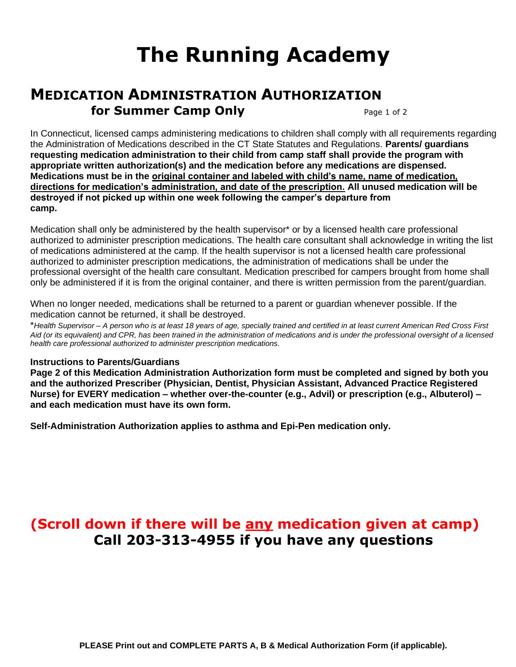# **The Running Academy**

# **MEDICATION ADMINISTRATION AUTHORIZATION for Summer Camp Only** Page 1 of 2

In Connecticut, licensed camps administering medications to children shall comply with all requirements regarding the Administration of Medications described in the CT State Statutes and Regulations. **Parents/ guardians requesting medication administration to their child from camp staff shall provide the program with appropriate written authorization(s) and the medication before any medications are dispensed. Medications must be in the original container and labeled with child's name, name of medication, directions for medication's administration, and date of the prescription. All unused medication will be destroyed if not picked up within one week following the camper's departure from camp.**

Medication shall only be administered by the health supervisor\* or by a licensed health care professional authorized to administer prescription medications. The health care consultant shall acknowledge in writing the list of medications administered at the camp. If the health supervisor is not a licensed health care professional authorized to administer prescription medications, the administration of medications shall be under the professional oversight of the health care consultant. Medication prescribed for campers brought from home shall only be administered if it is from the original container, and there is written permission from the parent/guardian.

When no longer needed, medications shall be returned to a parent or guardian whenever possible. If the medication cannot be returned, it shall be destroyed.

\**Health Supervisor – A person who is at least 18 years of age, specially trained and certified in at least current American Red Cross First Aid (or its equivalent) and CPR, has been trained in the administration of medications and is under the professional oversight of a licensed health care professional authorized to administer prescription medications.*

## **Instructions to Parents/Guardians**

**Page 2 of this Medication Administration Authorization form must be completed and signed by both you and the authorized Prescriber (Physician, Dentist, Physician Assistant, Advanced Practice Registered Nurse) for EVERY medication – whether over-the-counter (e.g., Advil) or prescription (e.g., Albuterol) – and each medication must have its own form.** 

**Self-Administration Authorization applies to asthma and Epi-Pen medication only.**

# **(Scroll down if there will be any medication given at camp) Call 203-313-4955 if you have any questions**